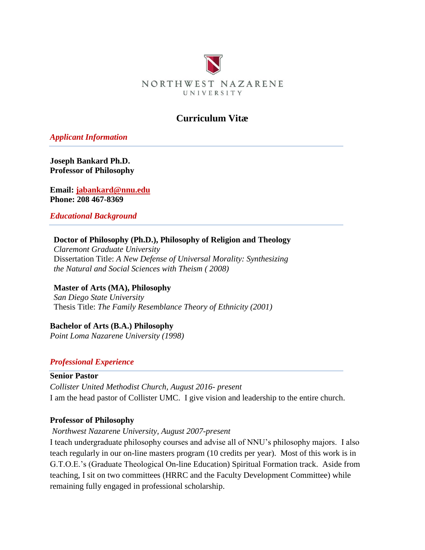

# **Curriculum Vitæ**

*Applicant Information*

**Joseph Bankard Ph.D. Professor of Philosophy**

**Email: [jabankard@nnu.edu](mailto:jabankard@nnu.edu) Phone: 208 467-8369**

*Educational Background*

#### **Doctor of Philosophy (Ph.D.), Philosophy of Religion and Theology**

*Claremont Graduate University* Dissertation Title: *A New Defense of Universal Morality: Synthesizing the Natural and Social Sciences with Theism ( 2008)* 

**Master of Arts (MA), Philosophy** *San Diego State University* Thesis Title: *The Family Resemblance Theory of Ethnicity (2001)*

**Bachelor of Arts (B.A.) Philosophy** *Point Loma Nazarene University (1998)*

## *Professional Experience*

#### **Senior Pastor**

*Collister United Methodist Church, August 2016- present* I am the head pastor of Collister UMC. I give vision and leadership to the entire church.

#### **Professor of Philosophy**

*Northwest Nazarene University, August 2007-present*

I teach undergraduate philosophy courses and advise all of NNU's philosophy majors. I also teach regularly in our on-line masters program (10 credits per year). Most of this work is in G.T.O.E.'s (Graduate Theological On-line Education) Spiritual Formation track. Aside from teaching, I sit on two committees (HRRC and the Faculty Development Committee) while remaining fully engaged in professional scholarship.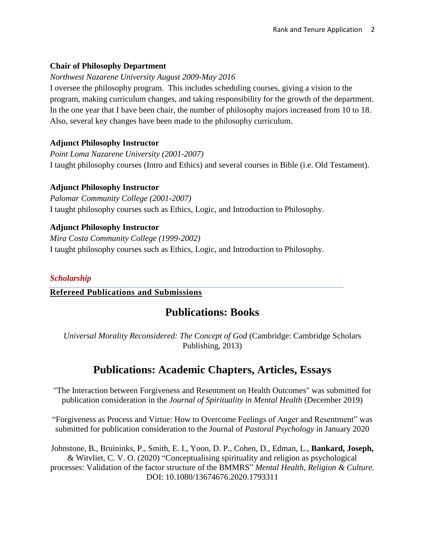## **Chair of Philosophy Department**

#### *Northwest Nazarene University August 2009-May 2016*

I oversee the philosophy program. This includes scheduling courses, giving a vision to the program, making curriculum changes, and taking responsibility for the growth of the department. In the one year that I have been chair, the number of philosophy majors increased from 10 to 18. Also, several key changes have been made to the philosophy curriculum.

## **Adjunct Philosophy Instructor**

*Point Loma Nazarene University (2001-2007)* I taught philosophy courses (Intro and Ethics) and several courses in Bible (i.e. Old Testament).

## **Adjunct Philosophy Instructor**

*Palomar Community College (2001-2007)* I taught philosophy courses such as Ethics, Logic, and Introduction to Philosophy.

## **Adjunct Philosophy Instructor**

*Mira Costa Community College (1999-2002)* I taught philosophy courses such as Ethics, Logic, and Introduction to Philosophy.

## *Scholarship*

#### **Refereed Publications and Submissions**

# **Publications: Books**

*Universal Morality Reconsidered: The Concept of God* (Cambridge: Cambridge Scholars Publishing, 2013)

# **Publications: Academic Chapters, Articles, Essays**

"The Interaction between Forgiveness and Resentment on Health Outcomes" was submitted for publication consideration in the *Journal of Spirituality in Mental Health* (December 2019)

"Forgiveness as Process and Virtue: How to Overcome Feelings of Anger and Resentment" was submitted for publication consideration to the Journal of *Pastoral Psychology* in January 2020

Johnstone, B., Bruininks, P., Smith, E. I., Yoon, D. P., Cohen, D., Edman, L., **Bankard, Joseph,** & Witvliet, C. V. O. (2020) "Conceptualising spirituality and religion as psychological processes: Validation of the factor structure of the BMMRS" *Mental Health, Religion & Culture.* DOI: 10.1080/13674676.2020.1793311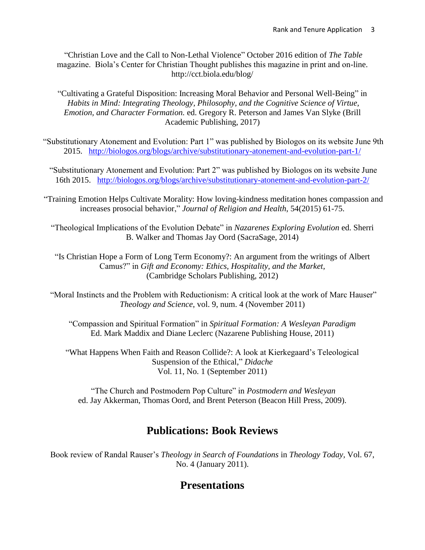"Christian Love and the Call to Non-Lethal Violence" October 2016 edition of *The Table* magazine. Biola's Center for Christian Thought publishes this magazine in print and on-line. http://cct.biola.edu/blog/

"Cultivating a Grateful Disposition: Increasing Moral Behavior and Personal Well-Being" in *Habits in Mind: Integrating Theology, Philosophy, and the Cognitive Science of Virtue, Emotion, and Character Formation.* ed. Gregory R. Peterson and James Van Slyke (Brill Academic Publishing, 2017)

"Substitutionary Atonement and Evolution: Part 1" was published by Biologos on its website June 9th 2015. <http://biologos.org/blogs/archive/substitutionary-atonement-and-evolution-part-1/>

"Substitutionary Atonement and Evolution: Part 2" was published by Biologos on its website June 16th 2015. <http://biologos.org/blogs/archive/substitutionary-atonement-and-evolution-part-2/>

"Training Emotion Helps Cultivate Morality: How loving-kindness meditation hones compassion and increases prosocial behavior," *Journal of Religion and Health*, 54(2015) 61-75.

"Theological Implications of the Evolution Debate" in *Nazarenes Exploring Evolution* ed. Sherri B. Walker and Thomas Jay Oord (SacraSage, 2014)

"Is Christian Hope a Form of Long Term Economy?: An argument from the writings of Albert Camus?" in *Gift and Economy: Ethics, Hospitality, and the Market,* (Cambridge Scholars Publishing, 2012)

"Moral Instincts and the Problem with Reductionism: A critical look at the work of Marc Hauser" *Theology and Science*, vol. 9, num. 4 (November 2011)

"Compassion and Spiritual Formation" in *Spiritual Formation: A Wesleyan Paradigm* Ed. Mark Maddix and Diane Leclerc (Nazarene Publishing House, 2011)

"What Happens When Faith and Reason Collide?: A look at Kierkegaard's Teleological Suspension of the Ethical," *Didache* Vol. 11, No. 1 (September 2011)

"The Church and Postmodern Pop Culture" in *Postmodern and Wesleyan* ed. Jay Akkerman, Thomas Oord, and Brent Peterson (Beacon Hill Press, 2009).

# **Publications: Book Reviews**

Book review of Randal Rauser's *Theology in Search of Foundations* in *Theology Today,* Vol. 67, No. 4 (January 2011).

# **Presentations**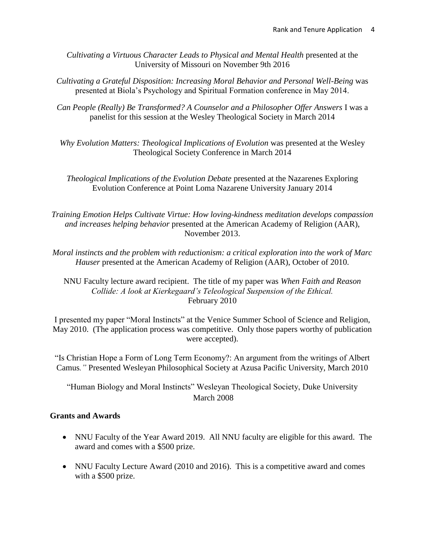*Cultivating a Virtuous Character Leads to Physical and Mental Health* presented at the University of Missouri on November 9th 2016

- *Cultivating a Grateful Disposition: Increasing Moral Behavior and Personal Well-Being* was presented at Biola's Psychology and Spiritual Formation conference in May 2014.
- *Can People (Really) Be Transformed? A Counselor and a Philosopher Offer Answers* I was a panelist for this session at the Wesley Theological Society in March 2014

*Why Evolution Matters: Theological Implications of Evolution* was presented at the Wesley Theological Society Conference in March 2014

*Theological Implications of the Evolution Debate* presented at the Nazarenes Exploring Evolution Conference at Point Loma Nazarene University January 2014

*Training Emotion Helps Cultivate Virtue: How loving-kindness meditation develops compassion and increases helping behavior* presented at the American Academy of Religion (AAR), November 2013.

*Moral instincts and the problem with reductionism: a critical exploration into the work of Marc Hauser* presented at the American Academy of Religion (AAR), October of 2010.

NNU Faculty lecture award recipient. The title of my paper was *When Faith and Reason Collide: A look at Kierkegaard's Teleological Suspension of the Ethical.* February 2010

I presented my paper "Moral Instincts" at the Venice Summer School of Science and Religion, May 2010. (The application process was competitive. Only those papers worthy of publication were accepted).

"Is Christian Hope a Form of Long Term Economy?: An argument from the writings of Albert Camus*."* Presented Wesleyan Philosophical Society at Azusa Pacific University, March 2010

"Human Biology and Moral Instincts" Wesleyan Theological Society, Duke University March 2008

## **Grants and Awards**

- NNU Faculty of the Year Award 2019. All NNU faculty are eligible for this award. The award and comes with a \$500 prize.
- NNU Faculty Lecture Award (2010 and 2016). This is a competitive award and comes with a \$500 prize.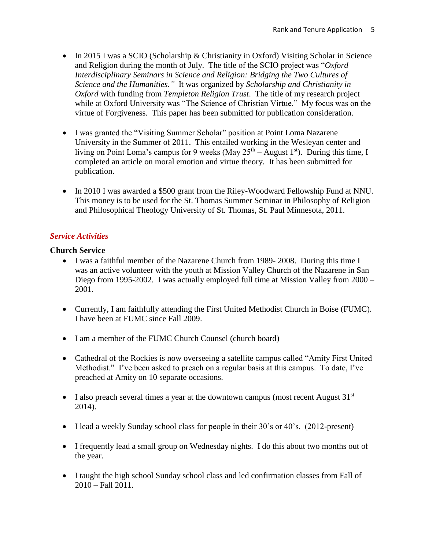- In 2015 I was a SCIO (Scholarship & Christianity in Oxford) Visiting Scholar in Science and Religion during the month of July. The title of the SCIO project was "*Oxford Interdisciplinary Seminars in Science and Religion: Bridging the Two Cultures of Science and the Humanities."* It was organized by *Scholarship and Christianity in Oxford* with funding from *Templeton Religion Trust*. The title of my research project while at Oxford University was "The Science of Christian Virtue." My focus was on the virtue of Forgiveness. This paper has been submitted for publication consideration.
- I was granted the "Visiting Summer Scholar" position at Point Loma Nazarene University in the Summer of 2011. This entailed working in the Wesleyan center and living on Point Loma's campus for 9 weeks (May  $25<sup>th</sup> - August 1<sup>st</sup>$ ). During this time, I completed an article on moral emotion and virtue theory. It has been submitted for publication.
- In 2010 I was awarded a \$500 grant from the Riley-Woodward Fellowship Fund at NNU. This money is to be used for the St. Thomas Summer Seminar in Philosophy of Religion and Philosophical Theology University of St. Thomas, St. Paul Minnesota, 2011.

#### *Service Activities*

#### **Church Service**

- I was a faithful member of the Nazarene Church from 1989- 2008. During this time I was an active volunteer with the youth at Mission Valley Church of the Nazarene in San Diego from 1995-2002. I was actually employed full time at Mission Valley from 2000 – 2001.
- Currently, I am faithfully attending the First United Methodist Church in Boise (FUMC). I have been at FUMC since Fall 2009.
- I am a member of the FUMC Church Counsel (church board)
- Cathedral of the Rockies is now overseeing a satellite campus called "Amity First United Methodist." I've been asked to preach on a regular basis at this campus. To date, I've preached at Amity on 10 separate occasions.
- I also preach several times a year at the downtown campus (most recent August  $31<sup>st</sup>$ 2014).
- I lead a weekly Sunday school class for people in their 30's or 40's. (2012-present)
- I frequently lead a small group on Wednesday nights. I do this about two months out of the year.
- I taught the high school Sunday school class and led confirmation classes from Fall of 2010 – Fall 2011.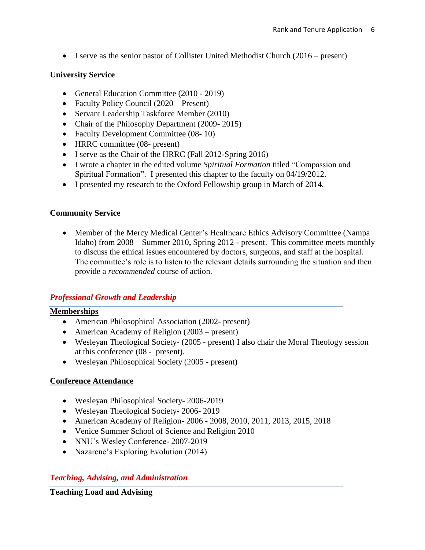• I serve as the senior pastor of Collister United Methodist Church (2016 – present)

# **University Service**

- General Education Committee (2010 2019)
- Faculty Policy Council (2020 Present)
- Servant Leadership Taskforce Member (2010)
- Chair of the Philosophy Department (2009-2015)
- Faculty Development Committee (08-10)
- HRRC committee (08- present)
- I serve as the Chair of the HRRC (Fall 2012-Spring 2016)
- I wrote a chapter in the edited volume *Spiritual Formation* titled "Compassion and Spiritual Formation". I presented this chapter to the faculty on 04/19/2012.
- I presented my research to the Oxford Fellowship group in March of 2014.

## **Community Service**

• Member of the Mercy Medical Center's Healthcare Ethics Advisory Committee (Nampa Idaho) from 2008 – Summer 2010**,** Spring 2012 - present. This committee meets monthly to discuss the ethical issues encountered by doctors, surgeons, and staff at the hospital. The committee's role is to listen to the relevant details surrounding the situation and then provide a *recommended* course of action.

# *Professional Growth and Leadership*

## **Memberships**

- American Philosophical Association (2002- present)
- American Academy of Religion (2003 present)
- Wesleyan Theological Society- (2005 present) I also chair the Moral Theology session at this conference (08 - present).
- Wesleyan Philosophical Society (2005 present)

## **Conference Attendance**

- Wesleyan Philosophical Society- 2006-2019
- Wesleyan Theological Society- 2006- 2019
- American Academy of Religion- 2006 2008, 2010, 2011, 2013, 2015, 2018
- Venice Summer School of Science and Religion 2010
- NNU's Wesley Conference- 2007-2019
- Nazarene's Exploring Evolution (2014)

## *Teaching, Advising, and Administration*

**Teaching Load and Advising**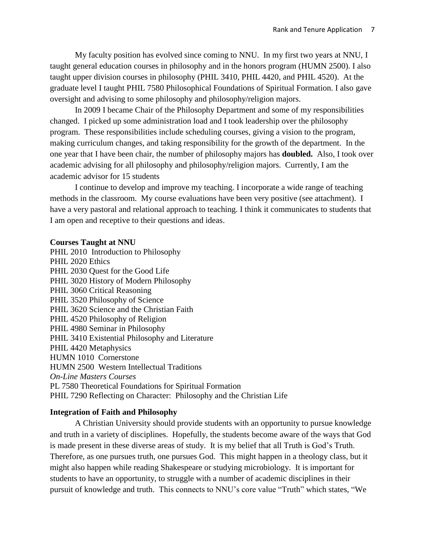My faculty position has evolved since coming to NNU. In my first two years at NNU, I taught general education courses in philosophy and in the honors program (HUMN 2500). I also taught upper division courses in philosophy (PHIL 3410, PHIL 4420, and PHIL 4520). At the graduate level I taught PHIL 7580 Philosophical Foundations of Spiritual Formation. I also gave oversight and advising to some philosophy and philosophy/religion majors.

In 2009 I became Chair of the Philosophy Department and some of my responsibilities changed. I picked up some administration load and I took leadership over the philosophy program. These responsibilities include scheduling courses, giving a vision to the program, making curriculum changes, and taking responsibility for the growth of the department. In the one year that I have been chair, the number of philosophy majors has **doubled.** Also, I took over academic advising for all philosophy and philosophy/religion majors. Currently, I am the academic advisor for 15 students

I continue to develop and improve my teaching. I incorporate a wide range of teaching methods in the classroom. My course evaluations have been very positive (see attachment). I have a very pastoral and relational approach to teaching. I think it communicates to students that I am open and receptive to their questions and ideas.

#### **Courses Taught at NNU**

PHIL 2010 Introduction to Philosophy PHIL 2020 Ethics PHIL 2030 Quest for the Good Life PHIL 3020 History of Modern Philosophy PHIL 3060 Critical Reasoning PHIL 3520 Philosophy of Science PHIL 3620 Science and the Christian Faith PHIL 4520 Philosophy of Religion PHIL 4980 Seminar in Philosophy PHIL 3410 Existential Philosophy and Literature PHIL 4420 Metaphysics HUMN 1010 Cornerstone HUMN 2500 Western Intellectual Traditions *On-Line Masters Courses* PL 7580 Theoretical Foundations for Spiritual Formation PHIL 7290 Reflecting on Character: Philosophy and the Christian Life

#### **Integration of Faith and Philosophy**

A Christian University should provide students with an opportunity to pursue knowledge and truth in a variety of disciplines. Hopefully, the students become aware of the ways that God is made present in these diverse areas of study. It is my belief that all Truth is God's Truth. Therefore, as one pursues truth, one pursues God. This might happen in a theology class, but it might also happen while reading Shakespeare or studying microbiology. It is important for students to have an opportunity, to struggle with a number of academic disciplines in their pursuit of knowledge and truth. This connects to NNU's core value "Truth" which states, "We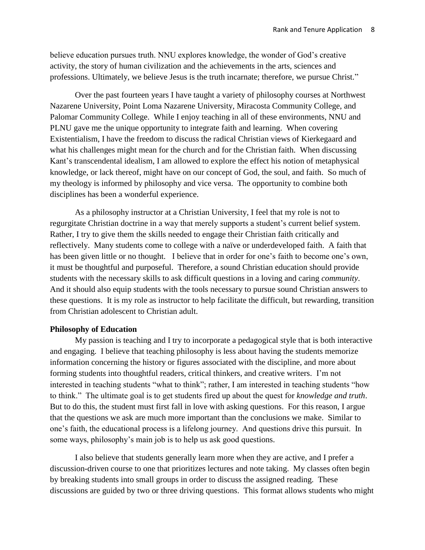believe education pursues truth. NNU explores knowledge, the wonder of God's creative activity, the story of human civilization and the achievements in the arts, sciences and professions. Ultimately, we believe Jesus is the truth incarnate; therefore, we pursue Christ."

Over the past fourteen years I have taught a variety of philosophy courses at Northwest Nazarene University, Point Loma Nazarene University, Miracosta Community College, and Palomar Community College. While I enjoy teaching in all of these environments, NNU and PLNU gave me the unique opportunity to integrate faith and learning. When covering Existentialism, I have the freedom to discuss the radical Christian views of Kierkegaard and what his challenges might mean for the church and for the Christian faith. When discussing Kant's transcendental idealism, I am allowed to explore the effect his notion of metaphysical knowledge, or lack thereof, might have on our concept of God, the soul, and faith. So much of my theology is informed by philosophy and vice versa. The opportunity to combine both disciplines has been a wonderful experience.

As a philosophy instructor at a Christian University, I feel that my role is not to regurgitate Christian doctrine in a way that merely supports a student's current belief system. Rather, I try to give them the skills needed to engage their Christian faith critically and reflectively. Many students come to college with a naïve or underdeveloped faith. A faith that has been given little or no thought. I believe that in order for one's faith to become one's own, it must be thoughtful and purposeful. Therefore, a sound Christian education should provide students with the necessary skills to ask difficult questions in a loving and caring *community*. And it should also equip students with the tools necessary to pursue sound Christian answers to these questions. It is my role as instructor to help facilitate the difficult, but rewarding, transition from Christian adolescent to Christian adult.

#### **Philosophy of Education**

My passion is teaching and I try to incorporate a pedagogical style that is both interactive and engaging. I believe that teaching philosophy is less about having the students memorize information concerning the history or figures associated with the discipline, and more about forming students into thoughtful readers, critical thinkers, and creative writers. I'm not interested in teaching students "what to think"; rather, I am interested in teaching students "how to think." The ultimate goal is to get students fired up about the quest for *knowledge and truth*. But to do this, the student must first fall in love with asking questions. For this reason, I argue that the questions we ask are much more important than the conclusions we make. Similar to one's faith, the educational process is a lifelong journey. And questions drive this pursuit. In some ways, philosophy's main job is to help us ask good questions.

I also believe that students generally learn more when they are active, and I prefer a discussion-driven course to one that prioritizes lectures and note taking. My classes often begin by breaking students into small groups in order to discuss the assigned reading. These discussions are guided by two or three driving questions. This format allows students who might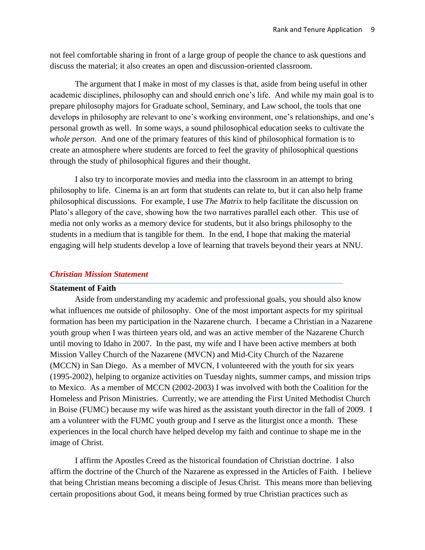not feel comfortable sharing in front of a large group of people the chance to ask questions and discuss the material; it also creates an open and discussion-oriented classroom.

The argument that I make in most of my classes is that, aside from being useful in other academic disciplines, philosophy can and should enrich one's life. And while my main goal is to prepare philosophy majors for Graduate school, Seminary, and Law school, the tools that one develops in philosophy are relevant to one's working environment, one's relationships, and one's personal growth as well. In some ways, a sound philosophical education seeks to cultivate the *whole person*. And one of the primary features of this kind of philosophical formation is to create an atmosphere where students are forced to feel the gravity of philosophical questions through the study of philosophical figures and their thought.

I also try to incorporate movies and media into the classroom in an attempt to bring philosophy to life. Cinema is an art form that students can relate to, but it can also help frame philosophical discussions. For example, I use *The Matrix* to help facilitate the discussion on Plato's allegory of the cave, showing how the two narratives parallel each other. This use of media not only works as a memory device for students, but it also brings philosophy to the students in a medium that is tangible for them. In the end, I hope that making the material engaging will help students develop a love of learning that travels beyond their years at NNU.

#### *Christian Mission Statement*

#### **Statement of Faith**

Aside from understanding my academic and professional goals, you should also know what influences me outside of philosophy. One of the most important aspects for my spiritual formation has been my participation in the Nazarene church. I became a Christian in a Nazarene youth group when I was thirteen years old, and was an active member of the Nazarene Church until moving to Idaho in 2007. In the past, my wife and I have been active members at both Mission Valley Church of the Nazarene (MVCN) and Mid-City Church of the Nazarene (MCCN) in San Diego. As a member of MVCN, I volunteered with the youth for six years (1995-2002), helping to organize activities on Tuesday nights, summer camps, and mission trips to Mexico. As a member of MCCN (2002-2003) I was involved with both the Coalition for the Homeless and Prison Ministries. Currently, we are attending the First United Methodist Church in Boise (FUMC) because my wife was hired as the assistant youth director in the fall of 2009. I am a volunteer with the FUMC youth group and I serve as the liturgist once a month. These experiences in the local church have helped develop my faith and continue to shape me in the image of Christ.

I affirm the Apostles Creed as the historical foundation of Christian doctrine. I also affirm the doctrine of the Church of the Nazarene as expressed in the Articles of Faith. I believe that being Christian means becoming a disciple of Jesus Christ. This means more than believing certain propositions about God, it means being formed by true Christian practices such as